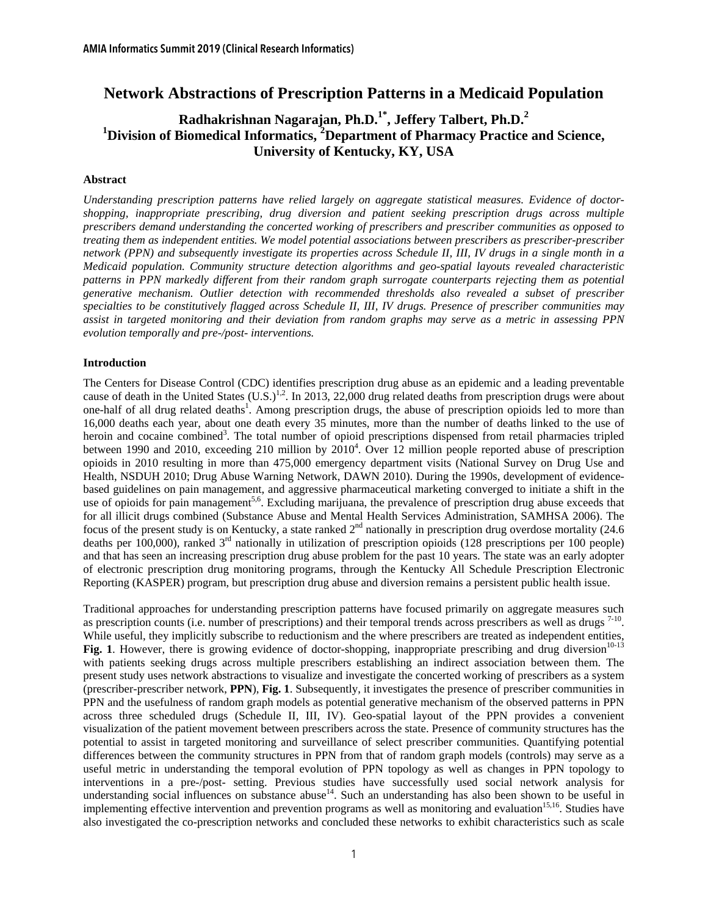# **Network Abstractions of Prescription Patterns in a Medicaid Population**

# **Radhakrishnan Nagarajan, Ph.D.1\*, Jeffery Talbert, Ph.D.2** <sup>1</sup> Division of Biomedical Informatics, <sup>2</sup> Department of Pharmacy Practice and Science, **University of Kentucky, KY, USA**

### **Abstract**

*Understanding prescription patterns have relied largely on aggregate statistical measures. Evidence of doctorshopping, inappropriate prescribing, drug diversion and patient seeking prescription drugs across multiple prescribers demand understanding the concerted working of prescribers and prescriber communities as opposed to treating them as independent entities. We model potential associations between prescribers as prescriber-prescriber network (PPN) and subsequently investigate its properties across Schedule II, III, IV drugs in a single month in a Medicaid population. Community structure detection algorithms and geo-spatial layouts revealed characteristic patterns in PPN markedly different from their random graph surrogate counterparts rejecting them as potential generative mechanism. Outlier detection with recommended thresholds also revealed a subset of prescriber specialties to be constitutively flagged across Schedule II, III, IV drugs. Presence of prescriber communities may assist in targeted monitoring and their deviation from random graphs may serve as a metric in assessing PPN evolution temporally and pre-/post- interventions.* 

### **Introduction**

The Centers for Disease Control (CDC) identifies prescription drug abuse as an epidemic and a leading preventable cause of death in the United States  $(U.S.)^{1,2}$ . In 2013, 22,000 drug related deaths from prescription drugs were about one-half of all drug related deaths<sup>1</sup>. Among prescription drugs, the abuse of prescription opioids led to more than 16,000 deaths each year, about one death every 35 minutes, more than the number of deaths linked to the use of heroin and cocaine combined<sup>3</sup>. The total number of opioid prescriptions dispensed from retail pharmacies tripled between 1990 and 2010, exceeding 210 million by 2010<sup>4</sup>. Over 12 million people reported abuse of prescription opioids in 2010 resulting in more than 475,000 emergency department visits (National Survey on Drug Use and Health, NSDUH 2010; Drug Abuse Warning Network, DAWN 2010). During the 1990s, development of evidencebased guidelines on pain management, and aggressive pharmaceutical marketing converged to initiate a shift in the use of opioids for pain management<sup>5,6</sup>. Excluding marijuana, the prevalence of prescription drug abuse exceeds that for all illicit drugs combined (Substance Abuse and Mental Health Services Administration, SAMHSA 2006). The focus of the present study is on Kentucky, a state ranked  $2<sup>nd</sup>$  nationally in prescription drug overdose mortality (24.6) deaths per  $100,000$ , ranked  $3<sup>rd</sup>$  nationally in utilization of prescription opioids (128 prescriptions per 100 people) and that has seen an increasing prescription drug abuse problem for the past 10 years. The state was an early adopter of electronic prescription drug monitoring programs, through the Kentucky All Schedule Prescription Electronic Reporting (KASPER) program, but prescription drug abuse and diversion remains a persistent public health issue.

Traditional approaches for understanding prescription patterns have focused primarily on aggregate measures such as prescription counts (i.e. number of prescriptions) and their temporal trends across prescribers as well as drugs <sup>7-10</sup>. While useful, they implicitly subscribe to reductionism and the where prescribers are treated as independent entities, Fig. 1. However, there is growing evidence of doctor-shopping, inappropriate prescribing and drug diversion<sup>10-13</sup> with patients seeking drugs across multiple prescribers establishing an indirect association between them. The present study uses network abstractions to visualize and investigate the concerted working of prescribers as a system (prescriber-prescriber network, **PPN**), **Fig. 1**. Subsequently, it investigates the presence of prescriber communities in PPN and the usefulness of random graph models as potential generative mechanism of the observed patterns in PPN across three scheduled drugs (Schedule II, III, IV). Geo-spatial layout of the PPN provides a convenient visualization of the patient movement between prescribers across the state. Presence of community structures has the potential to assist in targeted monitoring and surveillance of select prescriber communities. Quantifying potential differences between the community structures in PPN from that of random graph models (controls) may serve as a useful metric in understanding the temporal evolution of PPN topology as well as changes in PPN topology to interventions in a pre-/post- setting. Previous studies have successfully used social network analysis for understanding social influences on substance abuse<sup>14</sup>. Such an understanding has also been shown to be useful in implementing effective intervention and prevention programs as well as monitoring and evaluation<sup>15,16</sup>. Studies have also investigated the co-prescription networks and concluded these networks to exhibit characteristics such as scale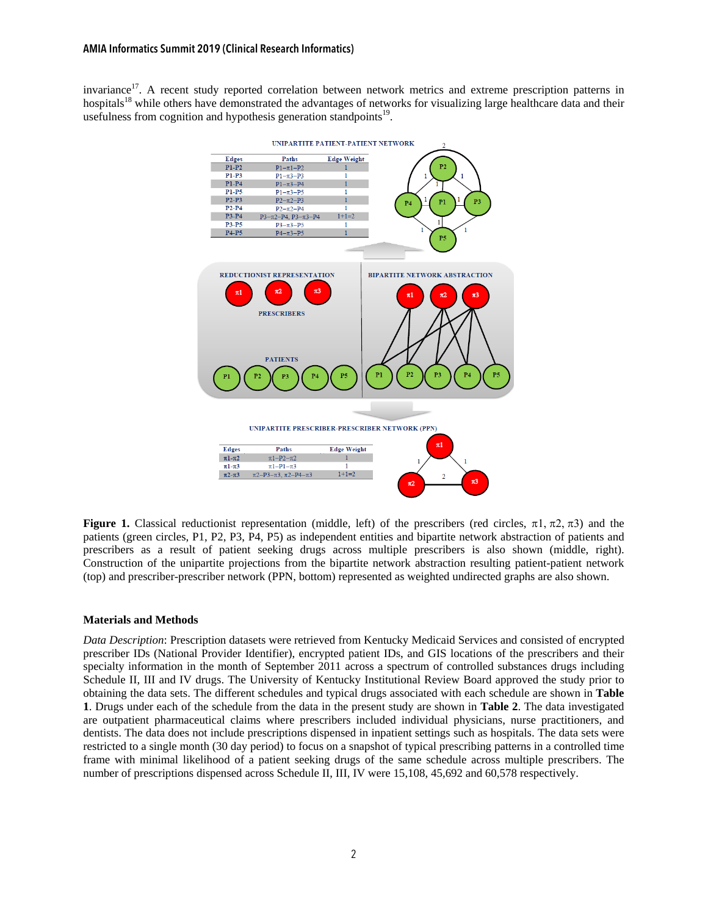invariance<sup>17</sup>. A recent study reported correlation between network metrics and extreme prescription patterns in hospitals<sup>18</sup> while others have demonstrated the advantages of networks for visualizing large healthcare data and their usefulness from cognition and hypothesis generation standpoints $19$ .



**Figure 1.** Classical reductionist representation (middle, left) of the prescribers (red circles,  $\pi$ 1,  $\pi$ 2,  $\pi$ 3) and the patients (green circles, P1, P2, P3, P4, P5) as independent entities and bipartite network abstraction of patients and prescribers as a result of patient seeking drugs across multiple prescribers is also shown (middle, right). Construction of the unipartite projections from the bipartite network abstraction resulting patient-patient network (top) and prescriber-prescriber network (PPN, bottom) represented as weighted undirected graphs are also shown.

# **Materials and Methods**

*Data Description*: Prescription datasets were retrieved from Kentucky Medicaid Services and consisted of encrypted prescriber IDs (National Provider Identifier), encrypted patient IDs, and GIS locations of the prescribers and their specialty information in the month of September 2011 across a spectrum of controlled substances drugs including Schedule II, III and IV drugs. The University of Kentucky Institutional Review Board approved the study prior to obtaining the data sets. The different schedules and typical drugs associated with each schedule are shown in **Table 1**. Drugs under each of the schedule from the data in the present study are shown in **Table 2**. The data investigated are outpatient pharmaceutical claims where prescribers included individual physicians, nurse practitioners, and dentists. The data does not include prescriptions dispensed in inpatient settings such as hospitals. The data sets were restricted to a single month (30 day period) to focus on a snapshot of typical prescribing patterns in a controlled time frame with minimal likelihood of a patient seeking drugs of the same schedule across multiple prescribers. The number of prescriptions dispensed across Schedule II, III, IV were 15,108, 45,692 and 60,578 respectively.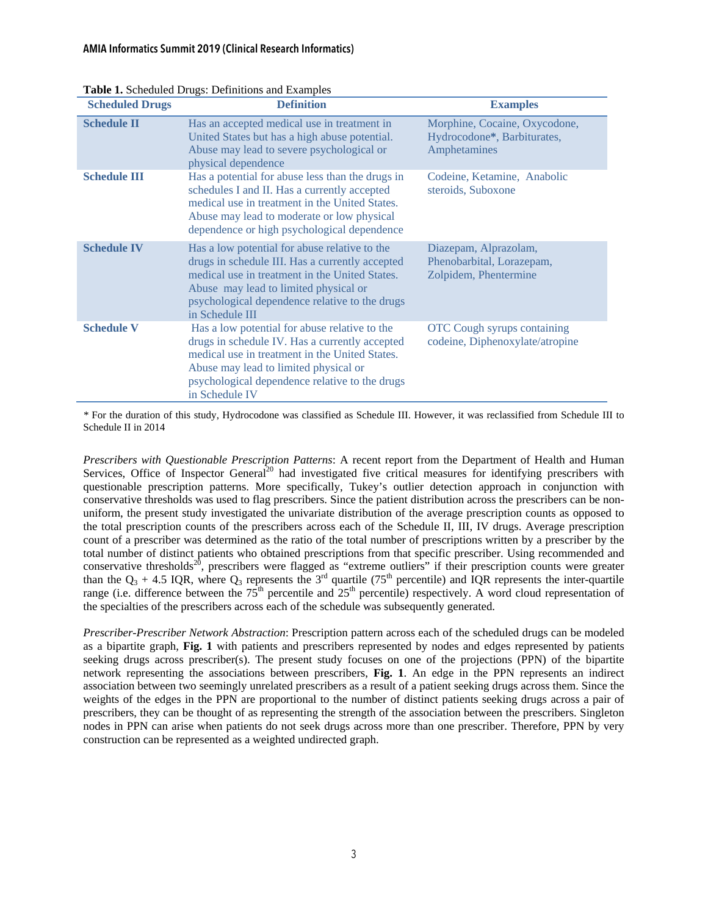## AMIA Informatics Summit 2019 (Clinical Research Informatics)

| <b>Scheduled Drugs</b> | <b>Tuble 1.</b> Benedated Brugs. Bernhabils and Baumpres<br><b>Definition</b>                                                                                                                                                                                    | <b>Examples</b>                                                              |
|------------------------|------------------------------------------------------------------------------------------------------------------------------------------------------------------------------------------------------------------------------------------------------------------|------------------------------------------------------------------------------|
| <b>Schedule II</b>     | Has an accepted medical use in treatment in<br>United States but has a high abuse potential.<br>Abuse may lead to severe psychological or<br>physical dependence                                                                                                 | Morphine, Cocaine, Oxycodone,<br>Hydrocodone*, Barbiturates,<br>Amphetamines |
| <b>Schedule III</b>    | Has a potential for abuse less than the drugs in<br>schedules I and II. Has a currently accepted<br>medical use in treatment in the United States.<br>Abuse may lead to moderate or low physical<br>dependence or high psychological dependence                  | Codeine, Ketamine, Anabolic<br>steroids, Suboxone                            |
| <b>Schedule IV</b>     | Has a low potential for abuse relative to the<br>drugs in schedule III. Has a currently accepted<br>medical use in treatment in the United States.<br>Abuse may lead to limited physical or<br>psychological dependence relative to the drugs<br>in Schedule III | Diazepam, Alprazolam,<br>Phenobarbital, Lorazepam,<br>Zolpidem, Phentermine  |
| <b>Schedule V</b>      | Has a low potential for abuse relative to the<br>drugs in schedule IV. Has a currently accepted<br>medical use in treatment in the United States.<br>Abuse may lead to limited physical or<br>psychological dependence relative to the drugs<br>in Schedule IV   | <b>OTC</b> Cough syrups containing<br>codeine, Diphenoxylate/atropine        |

**Table 1.** Scheduled Drugs: Definitions and Examples

*\** For the duration of this study, Hydrocodone was classified as Schedule III. However, it was reclassified from Schedule III to Schedule II in 2014

*Prescribers with Questionable Prescription Patterns*: A recent report from the Department of Health and Human Services, Office of Inspector General<sup>20</sup> had investigated five critical measures for identifying prescribers with questionable prescription patterns. More specifically, Tukey's outlier detection approach in conjunction with conservative thresholds was used to flag prescribers. Since the patient distribution across the prescribers can be nonuniform, the present study investigated the univariate distribution of the average prescription counts as opposed to the total prescription counts of the prescribers across each of the Schedule II, III, IV drugs. Average prescription count of a prescriber was determined as the ratio of the total number of prescriptions written by a prescriber by the total number of distinct patients who obtained prescriptions from that specific prescriber. Using recommended and conservative thresholds<sup>20</sup>, prescribers were flagged as "extreme outliers" if their prescription counts were greater than the  $Q_3$  + 4.5 IQR, where  $Q_3$  represents the 3<sup>rd</sup> quartile (75<sup>th</sup> percentile) and IQR represents the inter-quartile range (i.e. difference between the  $75<sup>th</sup>$  percentile and  $25<sup>th</sup>$  percentile) respectively. A word cloud representation of the specialties of the prescribers across each of the schedule was subsequently generated.

*Prescriber-Prescriber Network Abstraction*: Prescription pattern across each of the scheduled drugs can be modeled as a bipartite graph, **Fig. 1** with patients and prescribers represented by nodes and edges represented by patients seeking drugs across prescriber(s). The present study focuses on one of the projections (PPN) of the bipartite network representing the associations between prescribers, **Fig. 1**. An edge in the PPN represents an indirect association between two seemingly unrelated prescribers as a result of a patient seeking drugs across them. Since the weights of the edges in the PPN are proportional to the number of distinct patients seeking drugs across a pair of prescribers, they can be thought of as representing the strength of the association between the prescribers. Singleton nodes in PPN can arise when patients do not seek drugs across more than one prescriber. Therefore, PPN by very construction can be represented as a weighted undirected graph.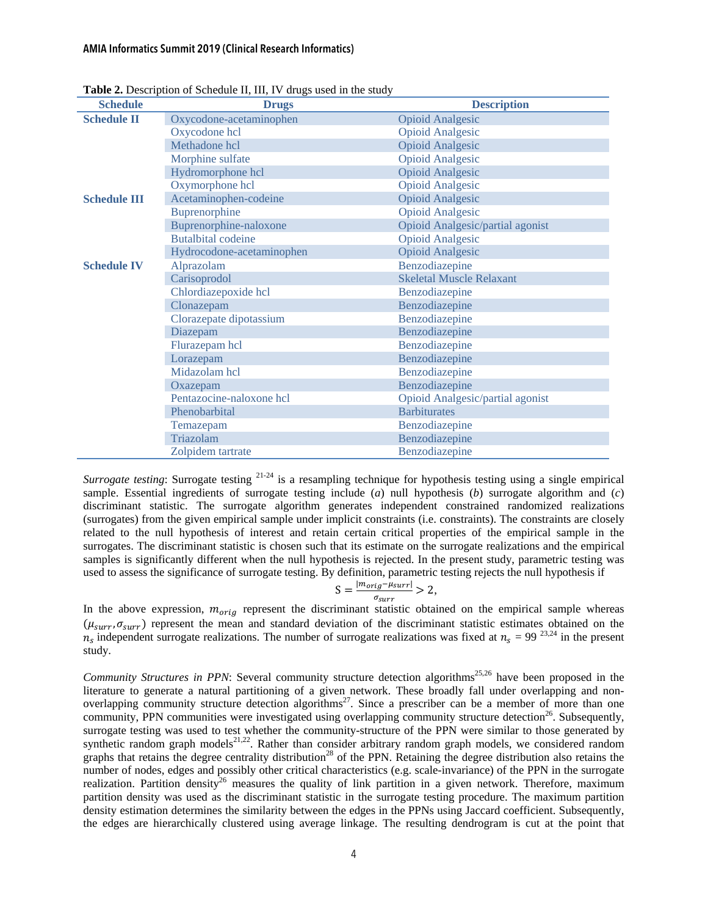#### AMIA Informatics Summit 2019 (Clinical Research Informatics)

| <b>Schedule</b>     | <b>radic 2.</b> Description of Schedare 11, 111, 14 drugs ased in the study<br><b>Drugs</b> | <b>Description</b>               |
|---------------------|---------------------------------------------------------------------------------------------|----------------------------------|
| <b>Schedule II</b>  | Oxycodone-acetaminophen                                                                     | <b>Opioid Analgesic</b>          |
|                     | Oxycodone hcl                                                                               | <b>Opioid Analgesic</b>          |
|                     | Methadone hcl                                                                               | <b>Opioid Analgesic</b>          |
|                     | Morphine sulfate                                                                            | <b>Opioid Analgesic</b>          |
|                     | Hydromorphone hcl                                                                           | <b>Opioid Analgesic</b>          |
|                     | Oxymorphone hcl                                                                             | <b>Opioid Analgesic</b>          |
| <b>Schedule III</b> | Acetaminophen-codeine                                                                       | <b>Opioid Analgesic</b>          |
|                     | Buprenorphine                                                                               | <b>Opioid Analgesic</b>          |
|                     | Buprenorphine-naloxone                                                                      | Opioid Analgesic/partial agonist |
|                     | <b>Butalbital</b> codeine                                                                   | <b>Opioid Analgesic</b>          |
|                     | Hydrocodone-acetaminophen                                                                   | <b>Opioid Analgesic</b>          |
| <b>Schedule IV</b>  | Alprazolam                                                                                  | Benzodiazepine                   |
|                     | Carisoprodol                                                                                | <b>Skeletal Muscle Relaxant</b>  |
|                     | Chlordiazepoxide hcl                                                                        | Benzodiazepine                   |
|                     | Clonazepam                                                                                  | Benzodiazepine                   |
|                     | Clorazepate dipotassium                                                                     | Benzodiazepine                   |
|                     | Diazepam                                                                                    | Benzodiazepine                   |
|                     | Flurazepam hcl                                                                              | Benzodiazepine                   |
|                     | Lorazepam                                                                                   | Benzodiazepine                   |
|                     | Midazolam hcl                                                                               | Benzodiazepine                   |
|                     | Oxazepam                                                                                    | Benzodiazepine                   |
|                     | Pentazocine-naloxone hcl                                                                    | Opioid Analgesic/partial agonist |
|                     | Phenobarbital                                                                               | <b>Barbiturates</b>              |
|                     | Temazepam                                                                                   | Benzodiazepine                   |
|                     | Triazolam                                                                                   | Benzodiazepine                   |
|                     | Zolpidem tartrate                                                                           | Benzodiazepine                   |

**Table 2.** Description of Schedule II, III, IV drugs used in the study

*Surrogate testing*: Surrogate testing <sup>21-24</sup> is a resampling technique for hypothesis testing using a single empirical sample. Essential ingredients of surrogate testing include (*a*) null hypothesis (*b*) surrogate algorithm and (*c*) discriminant statistic. The surrogate algorithm generates independent constrained randomized realizations (surrogates) from the given empirical sample under implicit constraints (i.e. constraints). The constraints are closely related to the null hypothesis of interest and retain certain critical properties of the empirical sample in the surrogates. The discriminant statistic is chosen such that its estimate on the surrogate realizations and the empirical samples is significantly different when the null hypothesis is rejected. In the present study, parametric testing was used to assess the significance of surrogate testing. By definition, parametric testing rejects the null hypothesis if

$$
S = \frac{|m_{orig} - \mu_{surr}|}{\sigma_{surr}} > 2,
$$

In the above expression,  $m_{orig}$  represent the discriminant statistic obtained on the empirical sample whereas  $(\mu_{surr}, \sigma_{surr})$  represent the mean and standard deviation of the discriminant statistic estimates obtained on the  $n_c$  independent surrogate realizations. The number of surrogate realizations was fixed at  $n_c = 99^{23,24}$  in the present study.

*Community Structures in PPN*: Several community structure detection algorithms<sup>25,26</sup> have been proposed in the literature to generate a natural partitioning of a given network. These broadly fall under overlapping and nonoverlapping community structure detection algorithms<sup>27</sup>. Since a prescriber can be a member of more than one community, PPN communities were investigated using overlapping community structure detection<sup>26</sup>. Subsequently, surrogate testing was used to test whether the community-structure of the PPN were similar to those generated by synthetic random graph models<sup>21,22</sup>. Rather than consider arbitrary random graph models, we considered random graphs that retains the degree centrality distribution<sup>28</sup> of the PPN. Retaining the degree distribution also retains the number of nodes, edges and possibly other critical characteristics (e.g. scale-invariance) of the PPN in the surrogate realization. Partition density<sup>26</sup> measures the quality of link partition in a given network. Therefore, maximum partition density was used as the discriminant statistic in the surrogate testing procedure. The maximum partition density estimation determines the similarity between the edges in the PPNs using Jaccard coefficient. Subsequently, the edges are hierarchically clustered using average linkage. The resulting dendrogram is cut at the point that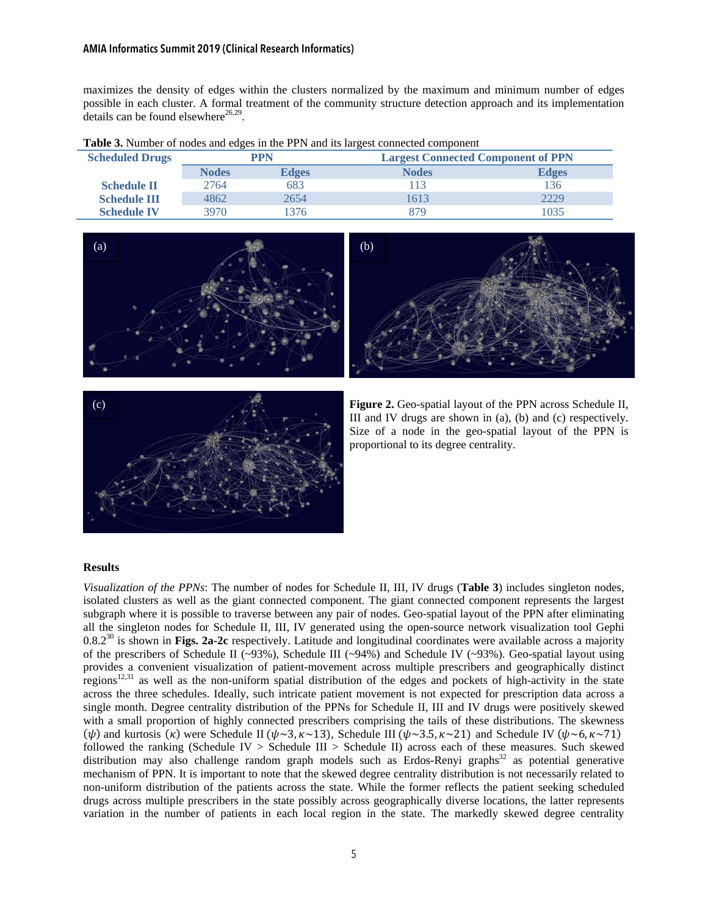#### AMIA Informatics Summit 2019 (Clinical Research Informatics)

maximizes the density of edges within the clusters normalized by the maximum and minimum number of edges possible in each cluster. A formal treatment of the community structure detection approach and its implementation details can be found elsewhere $26,29$ .

| <b>Scheduled Drugs</b> | <b>PPN</b>   |              |              | <b>Largest Connected Component of PPN</b> |  |
|------------------------|--------------|--------------|--------------|-------------------------------------------|--|
|                        | <b>Nodes</b> | <b>Edges</b> | <b>Nodes</b> | <b>Edges</b>                              |  |
| <b>Schedule II</b>     | 2764         | 683          | 113          | 136                                       |  |
| <b>Schedule III</b>    | 4862         | 2654         | 613          | 2229                                      |  |
| <b>Schedule IV</b>     | 3970.        | 376          | 879          | 1035                                      |  |









**Figure 2.** Geo-spatial layout of the PPN across Schedule II, III and IV drugs are shown in (a), (b) and (c) respectively. Size of a node in the geo-spatial layout of the PPN is proportional to its degree centrality.

## **Results**

*Visualization of the PPNs*: The number of nodes for Schedule II, III, IV drugs (**Table 3**) includes singleton nodes, isolated clusters as well as the giant connected component. The giant connected component represents the largest subgraph where it is possible to traverse between any pair of nodes. Geo-spatial layout of the PPN after eliminating all the singleton nodes for Schedule II, III, IV generated using the open-source network visualization tool Gephi 0.8.230 is shown in **Figs. 2a-2c** respectively. Latitude and longitudinal coordinates were available across a majority of the prescribers of Schedule II ( $\sim$ 93%), Schedule III ( $\sim$ 94%) and Schedule IV ( $\sim$ 93%). Geo-spatial layout using provides a convenient visualization of patient-movement across multiple prescribers and geographically distinct regions<sup>12,31</sup> as well as the non-uniform spatial distribution of the edges and pockets of high-activity in the state across the three schedules. Ideally, such intricate patient movement is not expected for prescription data across a single month. Degree centrality distribution of the PPNs for Schedule II, III and IV drugs were positively skewed with a small proportion of highly connected prescribers comprising the tails of these distributions. The skewness ( $\psi$ ) and kurtosis ( $\kappa$ ) were Schedule II ( $\psi \sim 3$ ,  $\kappa \sim 13$ ), Schedule III ( $\psi \sim 3.5$ ,  $\kappa \sim 21$ ) and Schedule IV ( $\psi \sim 6$ ,  $\kappa \sim 71$ ) followed the ranking (Schedule IV  $>$  Schedule III  $>$  Schedule II) across each of these measures. Such skewed distribution may also challenge random graph models such as Erdos-Renyi graphs<sup>32</sup> as potential generative mechanism of PPN. It is important to note that the skewed degree centrality distribution is not necessarily related to non-uniform distribution of the patients across the state. While the former reflects the patient seeking scheduled drugs across multiple prescribers in the state possibly across geographically diverse locations, the latter represents variation in the number of patients in each local region in the state. The markedly skewed degree centrality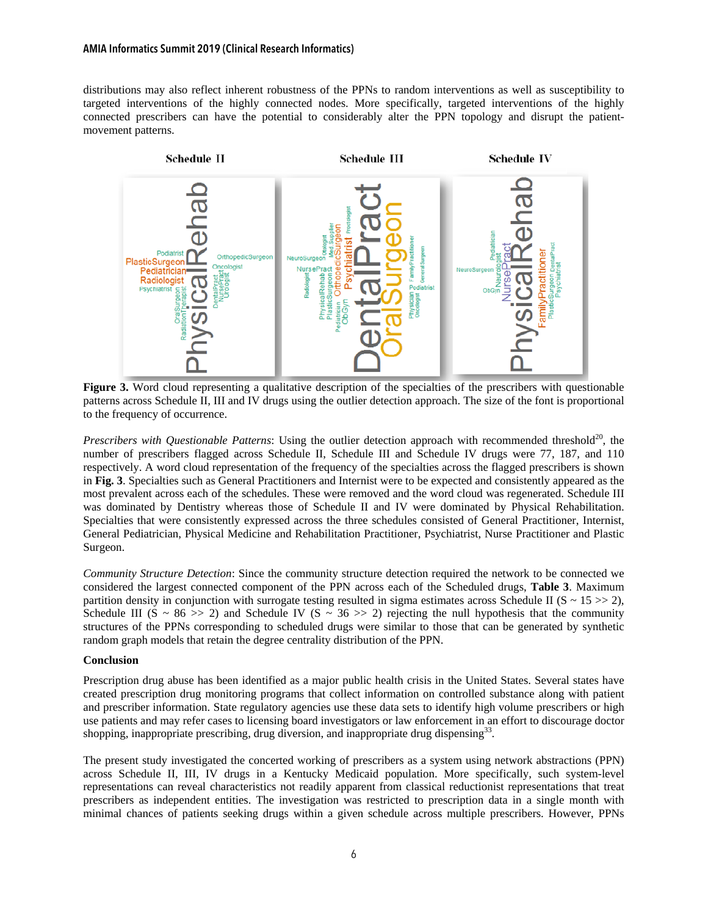distributions may also reflect inherent robustness of the PPNs to random interventions as well as susceptibility to targeted interventions of the highly connected nodes. More specifically, targeted interventions of the highly connected prescribers can have the potential to considerably alter the PPN topology and disrupt the patientmovement patterns.



**Figure 3.** Word cloud representing a qualitative description of the specialties of the prescribers with questionable patterns across Schedule II, III and IV drugs using the outlier detection approach. The size of the font is proportional to the frequency of occurrence.

*Prescribers with Questionable Patterns*: Using the outlier detection approach with recommended threshold<sup>20</sup>, the number of prescribers flagged across Schedule II, Schedule III and Schedule IV drugs were 77, 187, and 110 respectively. A word cloud representation of the frequency of the specialties across the flagged prescribers is shown in **Fig. 3**. Specialties such as General Practitioners and Internist were to be expected and consistently appeared as the most prevalent across each of the schedules. These were removed and the word cloud was regenerated. Schedule III was dominated by Dentistry whereas those of Schedule II and IV were dominated by Physical Rehabilitation. Specialties that were consistently expressed across the three schedules consisted of General Practitioner, Internist, General Pediatrician, Physical Medicine and Rehabilitation Practitioner, Psychiatrist, Nurse Practitioner and Plastic Surgeon.

*Community Structure Detection*: Since the community structure detection required the network to be connected we considered the largest connected component of the PPN across each of the Scheduled drugs, **Table 3**. Maximum partition density in conjunction with surrogate testing resulted in sigma estimates across Schedule II ( $S \sim 15 \gg 2$ ), Schedule III (S ~ 86 >> 2) and Schedule IV (S ~ 36 >> 2) rejecting the null hypothesis that the community structures of the PPNs corresponding to scheduled drugs were similar to those that can be generated by synthetic random graph models that retain the degree centrality distribution of the PPN.

## **Conclusion**

Prescription drug abuse has been identified as a major public health crisis in the United States. Several states have created prescription drug monitoring programs that collect information on controlled substance along with patient and prescriber information. State regulatory agencies use these data sets to identify high volume prescribers or high use patients and may refer cases to licensing board investigators or law enforcement in an effort to discourage doctor shopping, inappropriate prescribing, drug diversion, and inappropriate drug dispensing<sup>33</sup>.

The present study investigated the concerted working of prescribers as a system using network abstractions (PPN) across Schedule II, III, IV drugs in a Kentucky Medicaid population. More specifically, such system-level representations can reveal characteristics not readily apparent from classical reductionist representations that treat prescribers as independent entities. The investigation was restricted to prescription data in a single month with minimal chances of patients seeking drugs within a given schedule across multiple prescribers. However, PPNs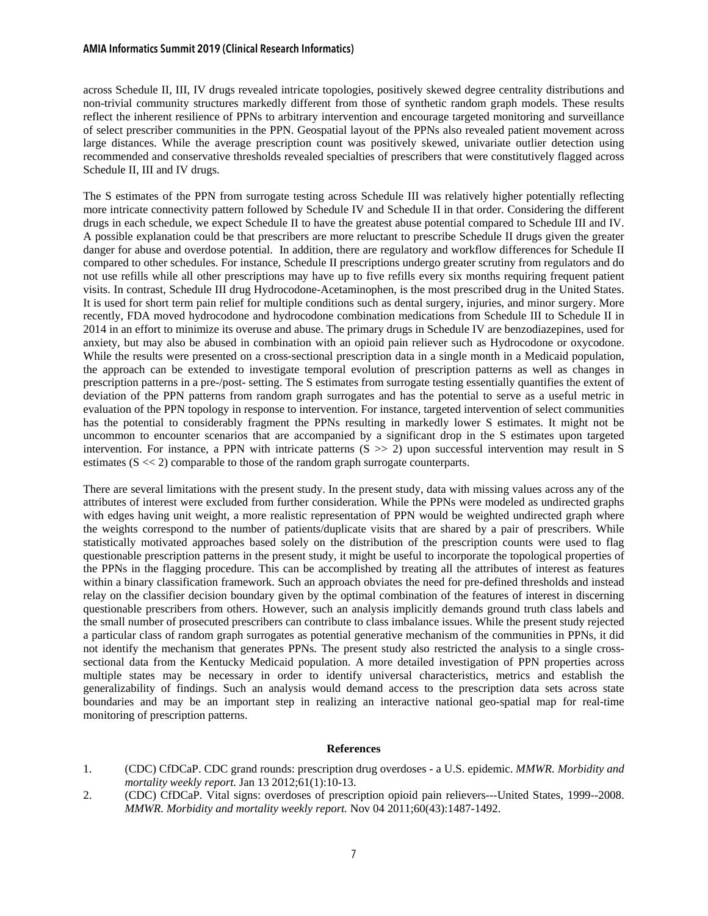across Schedule II, III, IV drugs revealed intricate topologies, positively skewed degree centrality distributions and non-trivial community structures markedly different from those of synthetic random graph models. These results reflect the inherent resilience of PPNs to arbitrary intervention and encourage targeted monitoring and surveillance of select prescriber communities in the PPN. Geospatial layout of the PPNs also revealed patient movement across large distances. While the average prescription count was positively skewed, univariate outlier detection using recommended and conservative thresholds revealed specialties of prescribers that were constitutively flagged across Schedule II, III and IV drugs.

The S estimates of the PPN from surrogate testing across Schedule III was relatively higher potentially reflecting more intricate connectivity pattern followed by Schedule IV and Schedule II in that order. Considering the different drugs in each schedule, we expect Schedule II to have the greatest abuse potential compared to Schedule III and IV. A possible explanation could be that prescribers are more reluctant to prescribe Schedule II drugs given the greater danger for abuse and overdose potential. In addition, there are regulatory and workflow differences for Schedule II compared to other schedules. For instance, Schedule II prescriptions undergo greater scrutiny from regulators and do not use refills while all other prescriptions may have up to five refills every six months requiring frequent patient visits. In contrast, Schedule III drug Hydrocodone-Acetaminophen, is the most prescribed drug in the United States. It is used for short term pain relief for multiple conditions such as dental surgery, injuries, and minor surgery. More recently, FDA moved hydrocodone and hydrocodone combination medications from Schedule III to Schedule II in 2014 in an effort to minimize its overuse and abuse. The primary drugs in Schedule IV are benzodiazepines, used for anxiety, but may also be abused in combination with an opioid pain reliever such as Hydrocodone or oxycodone. While the results were presented on a cross-sectional prescription data in a single month in a Medicaid population, the approach can be extended to investigate temporal evolution of prescription patterns as well as changes in prescription patterns in a pre-/post- setting. The S estimates from surrogate testing essentially quantifies the extent of deviation of the PPN patterns from random graph surrogates and has the potential to serve as a useful metric in evaluation of the PPN topology in response to intervention. For instance, targeted intervention of select communities has the potential to considerably fragment the PPNs resulting in markedly lower S estimates. It might not be uncommon to encounter scenarios that are accompanied by a significant drop in the S estimates upon targeted intervention. For instance, a PPN with intricate patterns  $(S \gg 2)$  upon successful intervention may result in S estimates (S << 2) comparable to those of the random graph surrogate counterparts.

There are several limitations with the present study. In the present study, data with missing values across any of the attributes of interest were excluded from further consideration. While the PPNs were modeled as undirected graphs with edges having unit weight, a more realistic representation of PPN would be weighted undirected graph where the weights correspond to the number of patients/duplicate visits that are shared by a pair of prescribers. While statistically motivated approaches based solely on the distribution of the prescription counts were used to flag questionable prescription patterns in the present study, it might be useful to incorporate the topological properties of the PPNs in the flagging procedure. This can be accomplished by treating all the attributes of interest as features within a binary classification framework. Such an approach obviates the need for pre-defined thresholds and instead relay on the classifier decision boundary given by the optimal combination of the features of interest in discerning questionable prescribers from others. However, such an analysis implicitly demands ground truth class labels and the small number of prosecuted prescribers can contribute to class imbalance issues. While the present study rejected a particular class of random graph surrogates as potential generative mechanism of the communities in PPNs, it did not identify the mechanism that generates PPNs. The present study also restricted the analysis to a single crosssectional data from the Kentucky Medicaid population. A more detailed investigation of PPN properties across multiple states may be necessary in order to identify universal characteristics, metrics and establish the generalizability of findings. Such an analysis would demand access to the prescription data sets across state boundaries and may be an important step in realizing an interactive national geo-spatial map for real-time monitoring of prescription patterns.

#### **References**

- 1. (CDC) CfDCaP. CDC grand rounds: prescription drug overdoses a U.S. epidemic. *MMWR. Morbidity and mortality weekly report.* Jan 13 2012;61(1):10-13.
- 2. (CDC) CfDCaP. Vital signs: overdoses of prescription opioid pain relievers---United States, 1999--2008. *MMWR. Morbidity and mortality weekly report.* Nov 04 2011;60(43):1487-1492.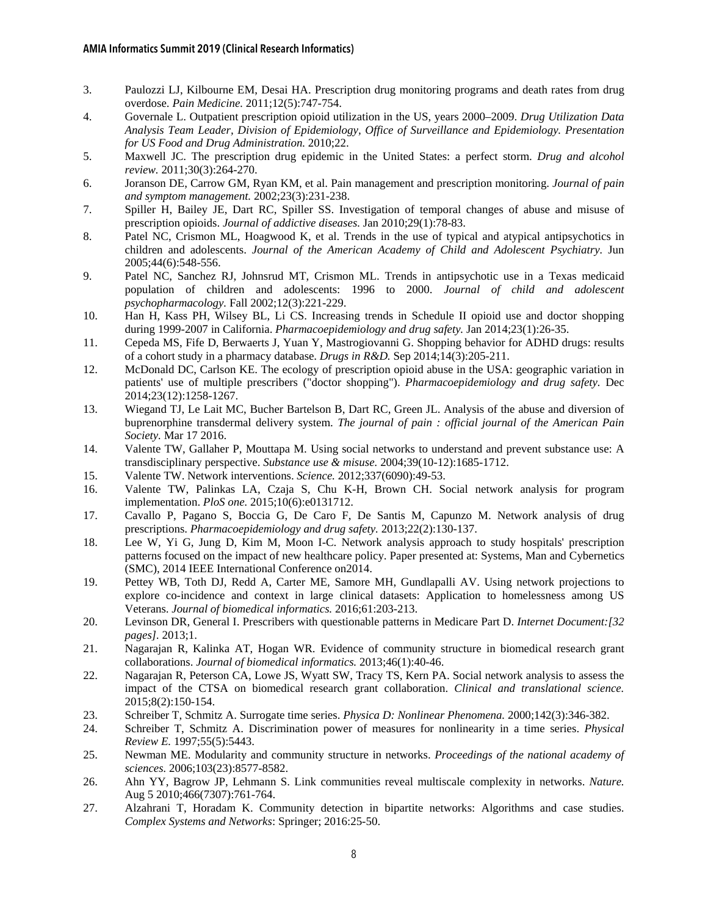- 3. Paulozzi LJ, Kilbourne EM, Desai HA. Prescription drug monitoring programs and death rates from drug overdose. *Pain Medicine.* 2011;12(5):747-754.
- 4. Governale L. Outpatient prescription opioid utilization in the US, years 2000–2009. *Drug Utilization Data Analysis Team Leader, Division of Epidemiology, Office of Surveillance and Epidemiology. Presentation for US Food and Drug Administration.* 2010;22.
- 5. Maxwell JC. The prescription drug epidemic in the United States: a perfect storm. *Drug and alcohol review.* 2011;30(3):264-270.
- 6. Joranson DE, Carrow GM, Ryan KM, et al. Pain management and prescription monitoring. *Journal of pain and symptom management.* 2002;23(3):231-238.
- 7. Spiller H, Bailey JE, Dart RC, Spiller SS. Investigation of temporal changes of abuse and misuse of prescription opioids. *Journal of addictive diseases.* Jan 2010;29(1):78-83.
- 8. Patel NC, Crismon ML, Hoagwood K, et al. Trends in the use of typical and atypical antipsychotics in children and adolescents. *Journal of the American Academy of Child and Adolescent Psychiatry.* Jun 2005;44(6):548-556.
- 9. Patel NC, Sanchez RJ, Johnsrud MT, Crismon ML. Trends in antipsychotic use in a Texas medicaid population of children and adolescents: 1996 to 2000. *Journal of child and adolescent psychopharmacology.* Fall 2002;12(3):221-229.
- 10. Han H, Kass PH, Wilsey BL, Li CS. Increasing trends in Schedule II opioid use and doctor shopping during 1999-2007 in California. *Pharmacoepidemiology and drug safety.* Jan 2014;23(1):26-35.
- 11. Cepeda MS, Fife D, Berwaerts J, Yuan Y, Mastrogiovanni G. Shopping behavior for ADHD drugs: results of a cohort study in a pharmacy database. *Drugs in R&D.* Sep 2014;14(3):205-211.
- 12. McDonald DC, Carlson KE. The ecology of prescription opioid abuse in the USA: geographic variation in patients' use of multiple prescribers ("doctor shopping"). *Pharmacoepidemiology and drug safety.* Dec 2014;23(12):1258-1267.
- 13. Wiegand TJ, Le Lait MC, Bucher Bartelson B, Dart RC, Green JL. Analysis of the abuse and diversion of buprenorphine transdermal delivery system. *The journal of pain : official journal of the American Pain Society.* Mar 17 2016.
- 14. Valente TW, Gallaher P, Mouttapa M. Using social networks to understand and prevent substance use: A transdisciplinary perspective. *Substance use & misuse.* 2004;39(10-12):1685-1712.
- 15. Valente TW. Network interventions. *Science.* 2012;337(6090):49-53.
- 16. Valente TW, Palinkas LA, Czaja S, Chu K-H, Brown CH. Social network analysis for program implementation. *PloS one.* 2015;10(6):e0131712.
- 17. Cavallo P, Pagano S, Boccia G, De Caro F, De Santis M, Capunzo M. Network analysis of drug prescriptions. *Pharmacoepidemiology and drug safety.* 2013;22(2):130-137.
- 18. Lee W, Yi G, Jung D, Kim M, Moon I-C. Network analysis approach to study hospitals' prescription patterns focused on the impact of new healthcare policy. Paper presented at: Systems, Man and Cybernetics (SMC), 2014 IEEE International Conference on2014.
- 19. Pettey WB, Toth DJ, Redd A, Carter ME, Samore MH, Gundlapalli AV. Using network projections to explore co-incidence and context in large clinical datasets: Application to homelessness among US Veterans. *Journal of biomedical informatics.* 2016;61:203-213.
- 20. Levinson DR, General I. Prescribers with questionable patterns in Medicare Part D. *Internet Document:[32 pages].* 2013;1.
- 21. Nagarajan R, Kalinka AT, Hogan WR. Evidence of community structure in biomedical research grant collaborations. *Journal of biomedical informatics.* 2013;46(1):40-46.
- 22. Nagarajan R, Peterson CA, Lowe JS, Wyatt SW, Tracy TS, Kern PA. Social network analysis to assess the impact of the CTSA on biomedical research grant collaboration. *Clinical and translational science.*  2015;8(2):150-154.
- 23. Schreiber T, Schmitz A. Surrogate time series. *Physica D: Nonlinear Phenomena.* 2000;142(3):346-382.
- 24. Schreiber T, Schmitz A. Discrimination power of measures for nonlinearity in a time series. *Physical Review E.* 1997;55(5):5443.
- 25. Newman ME. Modularity and community structure in networks. *Proceedings of the national academy of sciences.* 2006;103(23):8577-8582.
- 26. Ahn YY, Bagrow JP, Lehmann S. Link communities reveal multiscale complexity in networks. *Nature.*  Aug 5 2010;466(7307):761-764.
- 27. Alzahrani T, Horadam K. Community detection in bipartite networks: Algorithms and case studies. *Complex Systems and Networks*: Springer; 2016:25-50.